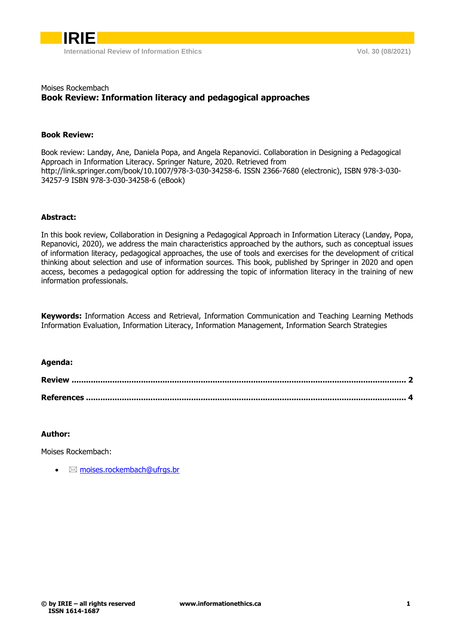

# Moises Rockembach **Book Review: Information literacy and pedagogical approaches**

#### **Book Review:**

Book review: Landøy, Ane, Daniela Popa, and Angela Repanovici. Collaboration in Designing a Pedagogical Approach in Information Literacy. Springer Nature, 2020. Retrieved from http://link.springer.com/book/10.1007/978-3-030-34258-6. ISSN 2366-7680 (electronic), ISBN 978-3-030- 34257-9 ISBN 978-3-030-34258-6 (eBook)

## **Abstract:**

In this book review, Collaboration in Designing a Pedagogical Approach in Information Literacy (Landøy, Popa, Repanovici, 2020), we address the main characteristics approached by the authors, such as conceptual issues of information literacy, pedagogical approaches, the use of tools and exercises for the development of critical thinking about selection and use of information sources. This book, published by Springer in 2020 and open access, becomes a pedagogical option for addressing the topic of information literacy in the training of new information professionals.

**Keywords:** Information Access and Retrieval, Information Communication and Teaching Learning Methods Information Evaluation, Information Literacy, Information Management, Information Search Strategies

#### **Agenda:**

## **Author:**

Moises Rockembach:

 $\boxtimes$  [moises.rockembach@ufrgs.br](moises.rockembach@ufrgs.br%20)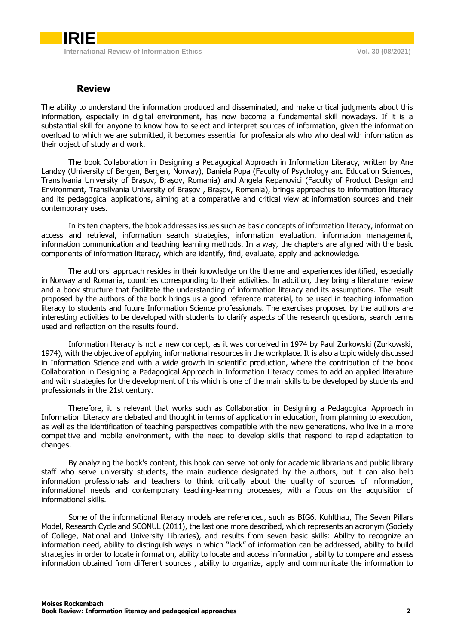## **Review**

<span id="page-1-0"></span>The ability to understand the information produced and disseminated, and make critical judgments about this information, especially in digital environment, has now become a fundamental skill nowadays. If it is a substantial skill for anyone to know how to select and interpret sources of information, given the information overload to which we are submitted, it becomes essential for professionals who who deal with information as their object of study and work.

The book Collaboration in Designing a Pedagogical Approach in Information Literacy, written by Ane Landøy (University of Bergen, Bergen, Norway), Daniela Popa (Faculty of Psychology and Education Sciences, Transilvania University of Brașov, Brașov, Romania) and Angela Repanovici (Faculty of Product Design and Environment, Transilvania University of Brașov , Brașov, Romania), brings approaches to information literacy and its pedagogical applications, aiming at a comparative and critical view at information sources and their contemporary uses.

In its ten chapters, the book addresses issues such as basic concepts of information literacy, information access and retrieval, information search strategies, information evaluation, information management, information communication and teaching learning methods. In a way, the chapters are aligned with the basic components of information literacy, which are identify, find, evaluate, apply and acknowledge.

The authors' approach resides in their knowledge on the theme and experiences identified, especially in Norway and Romania, countries corresponding to their activities. In addition, they bring a literature review and a book structure that facilitate the understanding of information literacy and its assumptions. The result proposed by the authors of the book brings us a good reference material, to be used in teaching information literacy to students and future Information Science professionals. The exercises proposed by the authors are interesting activities to be developed with students to clarify aspects of the research questions, search terms used and reflection on the results found.

Information literacy is not a new concept, as it was conceived in 1974 by Paul Zurkowski (Zurkowski, 1974), with the objective of applying informational resources in the workplace. It is also a topic widely discussed in Information Science and with a wide growth in scientific production, where the contribution of the book Collaboration in Designing a Pedagogical Approach in Information Literacy comes to add an applied literature and with strategies for the development of this which is one of the main skills to be developed by students and professionals in the 21st century.

Therefore, it is relevant that works such as Collaboration in Designing a Pedagogical Approach in Information Literacy are debated and thought in terms of application in education, from planning to execution, as well as the identification of teaching perspectives compatible with the new generations, who live in a more competitive and mobile environment, with the need to develop skills that respond to rapid adaptation to changes.

By analyzing the book's content, this book can serve not only for academic librarians and public library staff who serve university students, the main audience designated by the authors, but it can also help information professionals and teachers to think critically about the quality of sources of information, informational needs and contemporary teaching-learning processes, with a focus on the acquisition of informational skills.

Some of the informational literacy models are referenced, such as BIG6, Kuhlthau, The Seven Pillars Model, Research Cycle and SCONUL (2011), the last one more described, which represents an acronym (Society of College, National and University Libraries), and results from seven basic skills: Ability to recognize an information need, ability to distinguish ways in which "lack" of information can be addressed, ability to build strategies in order to locate information, ability to locate and access information, ability to compare and assess information obtained from different sources , ability to organize, apply and communicate the information to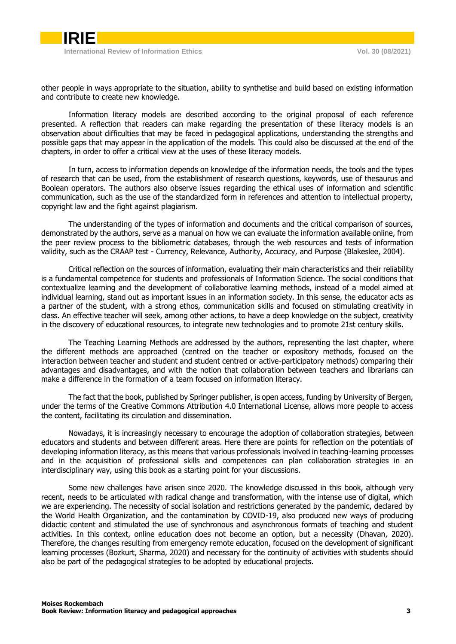other people in ways appropriate to the situation, ability to synthetise and build based on existing information and contribute to create new knowledge.

Information literacy models are described according to the original proposal of each reference presented. A reflection that readers can make regarding the presentation of these literacy models is an observation about difficulties that may be faced in pedagogical applications, understanding the strengths and possible gaps that may appear in the application of the models. This could also be discussed at the end of the chapters, in order to offer a critical view at the uses of these literacy models.

In turn, access to information depends on knowledge of the information needs, the tools and the types of research that can be used, from the establishment of research questions, keywords, use of thesaurus and Boolean operators. The authors also observe issues regarding the ethical uses of information and scientific communication, such as the use of the standardized form in references and attention to intellectual property, copyright law and the fight against plagiarism.

The understanding of the types of information and documents and the critical comparison of sources, demonstrated by the authors, serve as a manual on how we can evaluate the information available online, from the peer review process to the bibliometric databases, through the web resources and tests of information validity, such as the CRAAP test - Currency, Relevance, Authority, Accuracy, and Purpose (Blakeslee, 2004).

Critical reflection on the sources of information, evaluating their main characteristics and their reliability is a fundamental competence for students and professionals of Information Science. The social conditions that contextualize learning and the development of collaborative learning methods, instead of a model aimed at individual learning, stand out as important issues in an information society. In this sense, the educator acts as a partner of the student, with a strong ethos, communication skills and focused on stimulating creativity in class. An effective teacher will seek, among other actions, to have a deep knowledge on the subject, creativity in the discovery of educational resources, to integrate new technologies and to promote 21st century skills.

The Teaching Learning Methods are addressed by the authors, representing the last chapter, where the different methods are approached (centred on the teacher or expository methods, focused on the interaction between teacher and student and student centred or active-participatory methods) comparing their advantages and disadvantages, and with the notion that collaboration between teachers and librarians can make a difference in the formation of a team focused on information literacy.

The fact that the book, published by Springer publisher, is open access, funding by University of Bergen, under the terms of the Creative Commons Attribution 4.0 International License, allows more people to access the content, facilitating its circulation and dissemination.

Nowadays, it is increasingly necessary to encourage the adoption of collaboration strategies, between educators and students and between different areas. Here there are points for reflection on the potentials of developing information literacy, as this means that various professionals involved in teaching-learning processes and in the acquisition of professional skills and competences can plan collaboration strategies in an interdisciplinary way, using this book as a starting point for your discussions.

Some new challenges have arisen since 2020. The knowledge discussed in this book, although very recent, needs to be articulated with radical change and transformation, with the intense use of digital, which we are experiencing. The necessity of social isolation and restrictions generated by the pandemic, declared by the World Health Organization, and the contamination by COVID-19, also produced new ways of producing didactic content and stimulated the use of synchronous and asynchronous formats of teaching and student activities. In this context, online education does not become an option, but a necessity (Dhavan, 2020). Therefore, the changes resulting from emergency remote education, focused on the development of significant learning processes (Bozkurt, Sharma, 2020) and necessary for the continuity of activities with students should also be part of the pedagogical strategies to be adopted by educational projects.